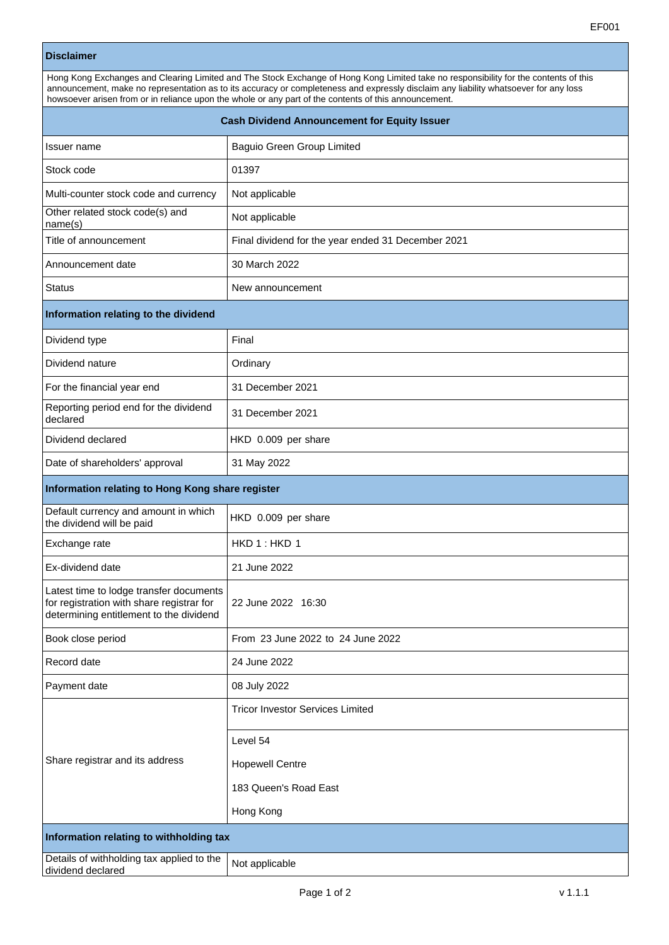| <b>Disclaimer</b>                                                                                                                                                                                                                                                                                                                                                                     |                                                    |  |
|---------------------------------------------------------------------------------------------------------------------------------------------------------------------------------------------------------------------------------------------------------------------------------------------------------------------------------------------------------------------------------------|----------------------------------------------------|--|
| Hong Kong Exchanges and Clearing Limited and The Stock Exchange of Hong Kong Limited take no responsibility for the contents of this<br>announcement, make no representation as to its accuracy or completeness and expressly disclaim any liability whatsoever for any loss<br>howsoever arisen from or in reliance upon the whole or any part of the contents of this announcement. |                                                    |  |
| <b>Cash Dividend Announcement for Equity Issuer</b>                                                                                                                                                                                                                                                                                                                                   |                                                    |  |
| Issuer name                                                                                                                                                                                                                                                                                                                                                                           | Baguio Green Group Limited                         |  |
| Stock code                                                                                                                                                                                                                                                                                                                                                                            | 01397                                              |  |
| Multi-counter stock code and currency                                                                                                                                                                                                                                                                                                                                                 | Not applicable                                     |  |
| Other related stock code(s) and<br>name(s)                                                                                                                                                                                                                                                                                                                                            | Not applicable                                     |  |
| Title of announcement                                                                                                                                                                                                                                                                                                                                                                 | Final dividend for the year ended 31 December 2021 |  |
| Announcement date                                                                                                                                                                                                                                                                                                                                                                     | 30 March 2022                                      |  |
| <b>Status</b>                                                                                                                                                                                                                                                                                                                                                                         | New announcement                                   |  |
| Information relating to the dividend                                                                                                                                                                                                                                                                                                                                                  |                                                    |  |
| Dividend type                                                                                                                                                                                                                                                                                                                                                                         | Final                                              |  |
| Dividend nature                                                                                                                                                                                                                                                                                                                                                                       | Ordinary                                           |  |
| For the financial year end                                                                                                                                                                                                                                                                                                                                                            | 31 December 2021                                   |  |
| Reporting period end for the dividend<br>declared                                                                                                                                                                                                                                                                                                                                     | 31 December 2021                                   |  |
| Dividend declared                                                                                                                                                                                                                                                                                                                                                                     | HKD 0.009 per share                                |  |
| Date of shareholders' approval                                                                                                                                                                                                                                                                                                                                                        | 31 May 2022                                        |  |
| Information relating to Hong Kong share register                                                                                                                                                                                                                                                                                                                                      |                                                    |  |
| Default currency and amount in which<br>the dividend will be paid                                                                                                                                                                                                                                                                                                                     | HKD 0.009 per share                                |  |
| Exchange rate                                                                                                                                                                                                                                                                                                                                                                         | HKD 1: HKD 1                                       |  |
| Ex-dividend date                                                                                                                                                                                                                                                                                                                                                                      | 21 June 2022                                       |  |
| Latest time to lodge transfer documents<br>for registration with share registrar for<br>determining entitlement to the dividend                                                                                                                                                                                                                                                       | 22 June 2022 16:30                                 |  |
| Book close period                                                                                                                                                                                                                                                                                                                                                                     | From 23 June 2022 to 24 June 2022                  |  |
| Record date                                                                                                                                                                                                                                                                                                                                                                           | 24 June 2022                                       |  |
| Payment date                                                                                                                                                                                                                                                                                                                                                                          | 08 July 2022                                       |  |
| Share registrar and its address                                                                                                                                                                                                                                                                                                                                                       | <b>Tricor Investor Services Limited</b>            |  |
|                                                                                                                                                                                                                                                                                                                                                                                       | Level 54                                           |  |
|                                                                                                                                                                                                                                                                                                                                                                                       | <b>Hopewell Centre</b>                             |  |
|                                                                                                                                                                                                                                                                                                                                                                                       | 183 Queen's Road East                              |  |
|                                                                                                                                                                                                                                                                                                                                                                                       | Hong Kong                                          |  |

**Information relating to withholding tax**